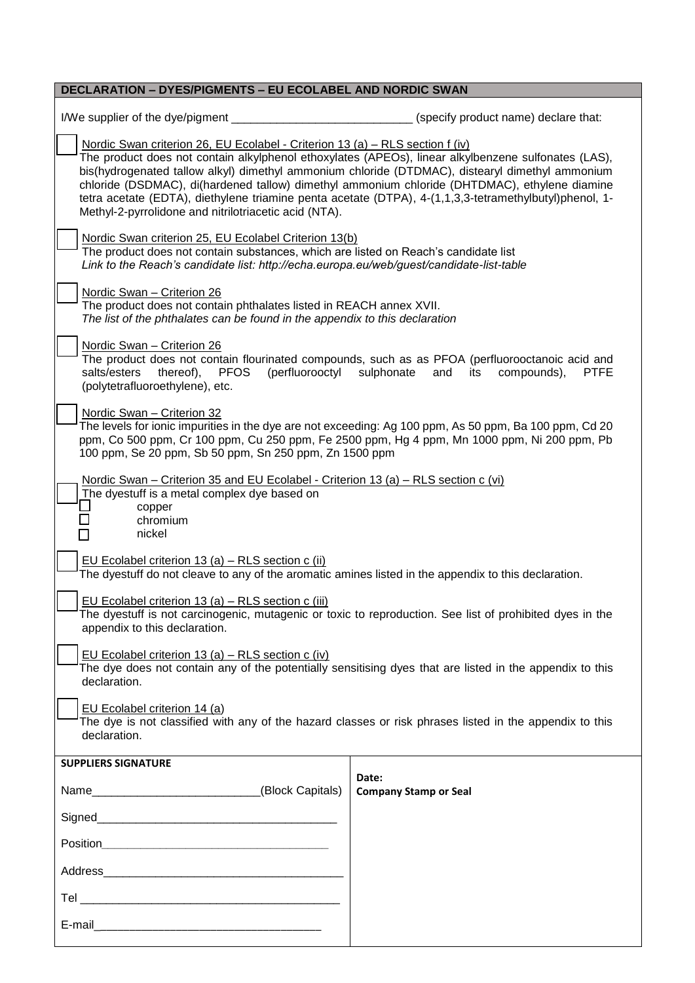| <b>DECLARATION - DYES/PIGMENTS - EU ECOLABEL AND NORDIC SWAN</b>                                                                                                                                                                                                                                                                                                                                                                                                                                                                                            |                                          |  |  |
|-------------------------------------------------------------------------------------------------------------------------------------------------------------------------------------------------------------------------------------------------------------------------------------------------------------------------------------------------------------------------------------------------------------------------------------------------------------------------------------------------------------------------------------------------------------|------------------------------------------|--|--|
| I/We supplier of the dye/pigment                                                                                                                                                                                                                                                                                                                                                                                                                                                                                                                            | (specify product name) declare that:     |  |  |
| Nordic Swan criterion 26, EU Ecolabel - Criterion 13 (a) - RLS section f (iv)<br>The product does not contain alkylphenol ethoxylates (APEOs), linear alkylbenzene sulfonates (LAS),<br>bis(hydrogenated tallow alkyl) dimethyl ammonium chloride (DTDMAC), distearyl dimethyl ammonium<br>chloride (DSDMAC), di(hardened tallow) dimethyl ammonium chloride (DHTDMAC), ethylene diamine<br>tetra acetate (EDTA), diethylene triamine penta acetate (DTPA), 4-(1,1,3,3-tetramethylbutyl)phenol, 1-<br>Methyl-2-pyrrolidone and nitrilotriacetic acid (NTA). |                                          |  |  |
| Nordic Swan criterion 25, EU Ecolabel Criterion 13(b)<br>The product does not contain substances, which are listed on Reach's candidate list<br>Link to the Reach's candidate list: http://echa.europa.eu/web/guest/candidate-list-table                                                                                                                                                                                                                                                                                                                    |                                          |  |  |
| Nordic Swan - Criterion 26<br>The product does not contain phthalates listed in REACH annex XVII.<br>The list of the phthalates can be found in the appendix to this declaration                                                                                                                                                                                                                                                                                                                                                                            |                                          |  |  |
| Nordic Swan - Criterion 26<br>The product does not contain flourinated compounds, such as as PFOA (perfluorooctanoic acid and<br>thereof),<br>PFOS<br>(perfluorooctyl sulphonate<br>salts/esters<br>(polytetrafluoroethylene), etc.                                                                                                                                                                                                                                                                                                                         | and<br>its<br>compounds),<br><b>PTFE</b> |  |  |
| Nordic Swan - Criterion 32<br>The levels for ionic impurities in the dye are not exceeding: Ag 100 ppm, As 50 ppm, Ba 100 ppm, Cd 20<br>ppm, Co 500 ppm, Cr 100 ppm, Cu 250 ppm, Fe 2500 ppm, Hg 4 ppm, Mn 1000 ppm, Ni 200 ppm, Pb<br>100 ppm, Se 20 ppm, Sb 50 ppm, Sn 250 ppm, Zn 1500 ppm                                                                                                                                                                                                                                                               |                                          |  |  |
| Nordic Swan – Criterion 35 and EU Ecolabel - Criterion 13 (a) – RLS section c (vi)<br>The dyestuff is a metal complex dye based on<br>copper<br>chromium<br>nickel                                                                                                                                                                                                                                                                                                                                                                                          |                                          |  |  |
| EU Ecolabel criterion 13 (a) - RLS section c (ii)<br>The dyestuff do not cleave to any of the aromatic amines listed in the appendix to this declaration.                                                                                                                                                                                                                                                                                                                                                                                                   |                                          |  |  |
| EU Ecolabel criterion 13 (a) - RLS section c (iii)<br>The dyestuff is not carcinogenic, mutagenic or toxic to reproduction. See list of prohibited dyes in the<br>appendix to this declaration.                                                                                                                                                                                                                                                                                                                                                             |                                          |  |  |
| EU Ecolabel criterion 13 (a) - RLS section c (iv)<br>The dye does not contain any of the potentially sensitising dyes that are listed in the appendix to this<br>declaration.                                                                                                                                                                                                                                                                                                                                                                               |                                          |  |  |
| EU Ecolabel criterion 14 (a)<br>The dye is not classified with any of the hazard classes or risk phrases listed in the appendix to this<br>declaration.                                                                                                                                                                                                                                                                                                                                                                                                     |                                          |  |  |
| <b>SUPPLIERS SIGNATURE</b>                                                                                                                                                                                                                                                                                                                                                                                                                                                                                                                                  |                                          |  |  |
| Name______________________________(Block Capitals)                                                                                                                                                                                                                                                                                                                                                                                                                                                                                                          | Date:<br><b>Company Stamp or Seal</b>    |  |  |
|                                                                                                                                                                                                                                                                                                                                                                                                                                                                                                                                                             |                                          |  |  |
|                                                                                                                                                                                                                                                                                                                                                                                                                                                                                                                                                             |                                          |  |  |
|                                                                                                                                                                                                                                                                                                                                                                                                                                                                                                                                                             |                                          |  |  |
|                                                                                                                                                                                                                                                                                                                                                                                                                                                                                                                                                             |                                          |  |  |
|                                                                                                                                                                                                                                                                                                                                                                                                                                                                                                                                                             |                                          |  |  |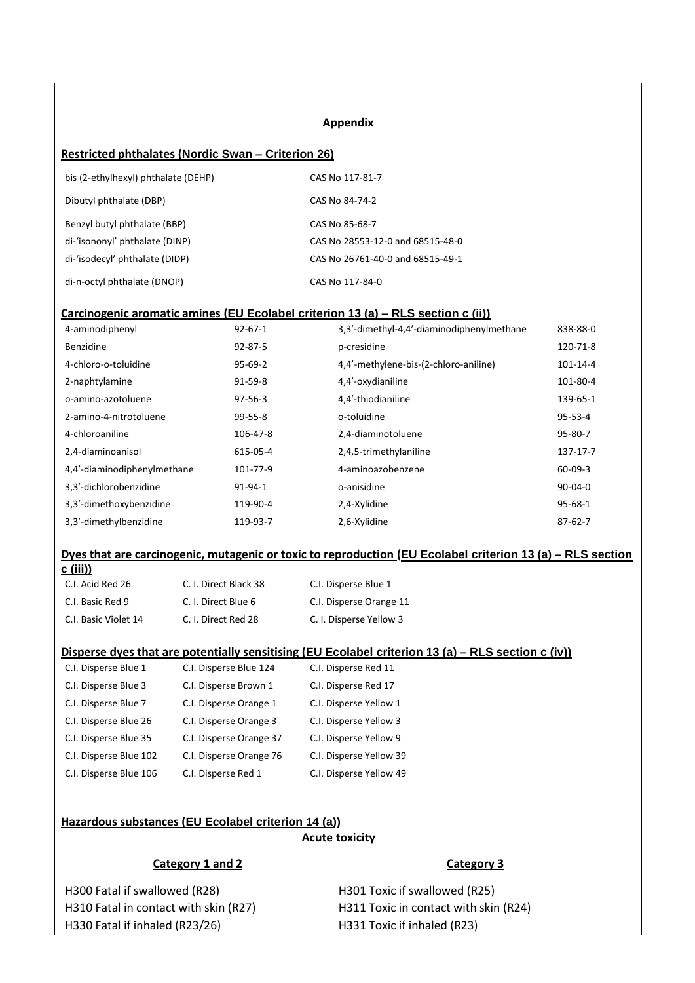## **Appendix**

#### **Restricted phthalates (Nordic Swan – Criterion 26)**

| bis (2-ethylhexyl) phthalate (DEHP) | CAS No 117-81-7                  |
|-------------------------------------|----------------------------------|
| Dibutyl phthalate (DBP)             | CAS No 84-74-2                   |
| Benzyl butyl phthalate (BBP)        | CAS No 85-68-7                   |
| di-'isononyl' phthalate (DINP)      | CAS No 28553-12-0 and 68515-48-0 |
| di-'isodecyl' phthalate (DIDP)      | CAS No 26761-40-0 and 68515-49-1 |
| di-n-octyl phthalate (DNOP)         | CAS No 117-84-0                  |

### **Carcinogenic aromatic amines (EU Ecolabel criterion 13 (a) – RLS section c (ii))**

| 4-aminodiphenyl             | $92 - 67 - 1$ | 3,3'-dimethyl-4,4'-diaminodiphenylmethane | 838-88-0      |
|-----------------------------|---------------|-------------------------------------------|---------------|
| Benzidine                   | $92 - 87 - 5$ | p-cresidine                               | 120-71-8      |
| 4-chloro-o-toluidine        | $95-69-2$     | 4,4'-methylene-bis-(2-chloro-aniline)     | 101-14-4      |
| 2-naphtylamine              | $91 - 59 - 8$ | 4,4'-oxydianiline                         | 101-80-4      |
| o-amino-azotoluene          | $97 - 56 - 3$ | 4,4'-thiodianiline                        | 139-65-1      |
| 2-amino-4-nitrotoluene      | $99 - 55 - 8$ | o-toluidine                               | $95 - 53 - 4$ |
| 4-chloroaniline             | 106-47-8      | 2,4-diaminotoluene                        | 95-80-7       |
| 2,4-diaminoanisol           | 615-05-4      | 2,4,5-trimethylaniline                    | 137-17-7      |
| 4,4'-diaminodiphenylmethane | 101-77-9      | 4-aminoazobenzene                         | $60 - 09 - 3$ |
| 3,3'-dichlorobenzidine      | $91 - 94 - 1$ | o-anisidine                               | $90 - 04 - 0$ |
| 3,3'-dimethoxybenzidine     | 119-90-4      | 2,4-Xylidine                              | $95 - 68 - 1$ |
| 3,3'-dimethylbenzidine      | 119-93-7      | 2,6-Xylidine                              | $87 - 62 - 7$ |

#### **Dyes that are carcinogenic, mutagenic or toxic to reproduction (EU Ecolabel criterion 13 (a) – RLS section**

| C.I. Acid Red 26     | C. I. Direct Black 38 | C.I. Disperse Blue 1    |
|----------------------|-----------------------|-------------------------|
| C.I. Basic Red 9     | C. I. Direct Blue 6   | C.I. Disperse Orange 11 |
| C.I. Basic Violet 14 | C. I. Direct Red 28   | C. I. Disperse Yellow 3 |

# **Disperse dyes that are potentially sensitising (EU Ecolabel criterion 13 (a) – RLS section c (iv))**

| C.I. Disperse Blue 1   | C.I. Disperse Blue 124  | C.I. Disperse Red 11    |
|------------------------|-------------------------|-------------------------|
| C.I. Disperse Blue 3   | C.I. Disperse Brown 1   | C.I. Disperse Red 17    |
| C.I. Disperse Blue 7   | C.I. Disperse Orange 1  | C.I. Disperse Yellow 1  |
| C.I. Disperse Blue 26  | C.I. Disperse Orange 3  | C.I. Disperse Yellow 3  |
| C.I. Disperse Blue 35  | C.I. Disperse Orange 37 | C.I. Disperse Yellow 9  |
| C.I. Disperse Blue 102 | C.I. Disperse Orange 76 | C.I. Disperse Yellow 39 |
| C.I. Disperse Blue 106 | C.I. Disperse Red 1     | C.I. Disperse Yellow 49 |

### **Hazardous substances (EU Ecolabel criterion 14 (a))**

| <b>Acute toxicity</b> |  |  |
|-----------------------|--|--|
|                       |  |  |

### **Category 1 and 2 Category 3**

H330 Fatal if inhaled (R23/26) H331 Toxic if inhaled (R23)

**c (iii))**

H300 Fatal if swallowed (R28) H301 Toxic if swallowed (R25) H310 Fatal in contact with skin (R27) H311 Toxic in contact with skin (R24)